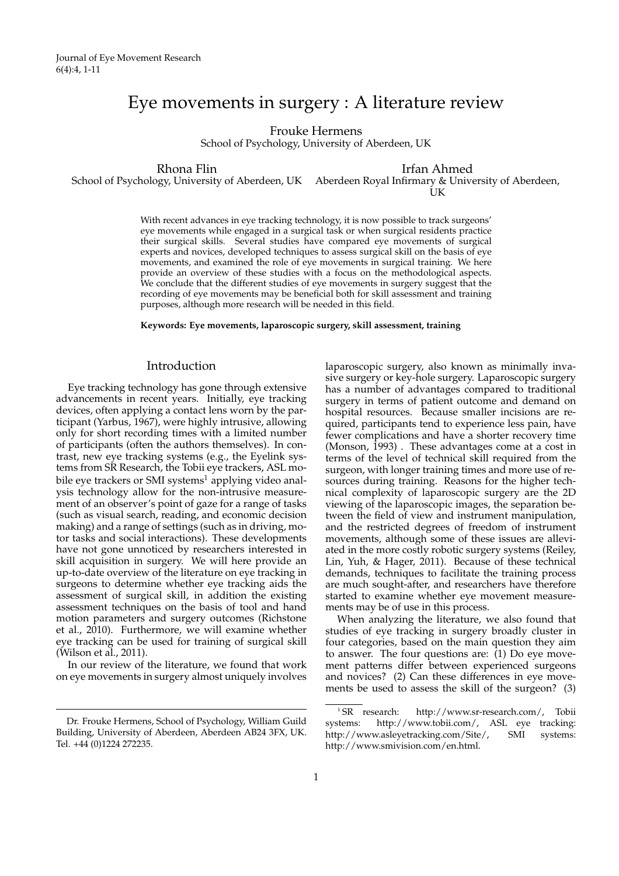# Eye movements in surgery : A literature review

Frouke Hermens

School of Psychology, University of Aberdeen, UK

Rhona Flin School of Psychology, University of Aberdeen, UK Aberdeen Royal Infirmary & University of Aberdeen, Irfan Ahmed

İJK

With recent advances in eye tracking technology, it is now possible to track surgeons' eye movements while engaged in a surgical task or when surgical residents practice their surgical skills. Several studies have compared eye movements of surgical experts and novices, developed techniques to assess surgical skill on the basis of eye movements, and examined the role of eye movements in surgical training. We here provide an overview of these studies with a focus on the methodological aspects. We conclude that the different studies of eye movements in surgery suggest that the recording of eye movements may be beneficial both for skill assessment and training purposes, although more research will be needed in this field.

**Keywords: Eye movements, laparoscopic surgery, skill assessment, training**

# Introduction

Eye tracking technology has gone through extensive advancements in recent years. Initially, eye tracking devices, often applying a contact lens worn by the participant (Yarbus, 1967), were highly intrusive, allowing only for short recording times with a limited number of participants (often the authors themselves). In contrast, new eye tracking systems (e.g., the Eyelink systems from SR Research, the Tobii eye trackers, ASL mobile eye trackers or SMI systems<sup>1</sup> applying video analysis technology allow for the non-intrusive measurement of an observer's point of gaze for a range of tasks (such as visual search, reading, and economic decision making) and a range of settings (such as in driving, motor tasks and social interactions). These developments have not gone unnoticed by researchers interested in skill acquisition in surgery. We will here provide an up-to-date overview of the literature on eye tracking in surgeons to determine whether eye tracking aids the assessment of surgical skill, in addition the existing assessment techniques on the basis of tool and hand motion parameters and surgery outcomes (Richstone et al., 2010). Furthermore, we will examine whether eye tracking can be used for training of surgical skill (Wilson et al., 2011).

In our review of the literature, we found that work on eye movements in surgery almost uniquely involves

laparoscopic surgery, also known as minimally invasive surgery or key-hole surgery. Laparoscopic surgery has a number of advantages compared to traditional surgery in terms of patient outcome and demand on hospital resources. Because smaller incisions are required, participants tend to experience less pain, have fewer complications and have a shorter recovery time (Monson, 1993) . These advantages come at a cost in terms of the level of technical skill required from the surgeon, with longer training times and more use of resources during training. Reasons for the higher technical complexity of laparoscopic surgery are the 2D viewing of the laparoscopic images, the separation between the field of view and instrument manipulation, and the restricted degrees of freedom of instrument movements, although some of these issues are alleviated in the more costly robotic surgery systems (Reiley, Lin, Yuh, & Hager, 2011). Because of these technical demands, techniques to facilitate the training process are much sought-after, and researchers have therefore started to examine whether eye movement measurements may be of use in this process.

When analyzing the literature, we also found that studies of eye tracking in surgery broadly cluster in four categories, based on the main question they aim to answer. The four questions are:  $(1)$  Do eye movement patterns differ between experienced surgeons and novices? (2) Can these differences in eye movements be used to assess the skill of the surgeon? (3)

Dr. Frouke Hermens, School of Psychology, William Guild Building, University of Aberdeen, Aberdeen AB24 3FX, UK. Tel. +44 (0)1224 272235.

<sup>&</sup>lt;sup>1</sup> SR research: http://www.sr-research.com/, Tobii systems: http://www.tobii.com/, ASL eye tracking: http://www.asleyetracking.com/Site/, SMI systems: http://www.smivision.com/en.html.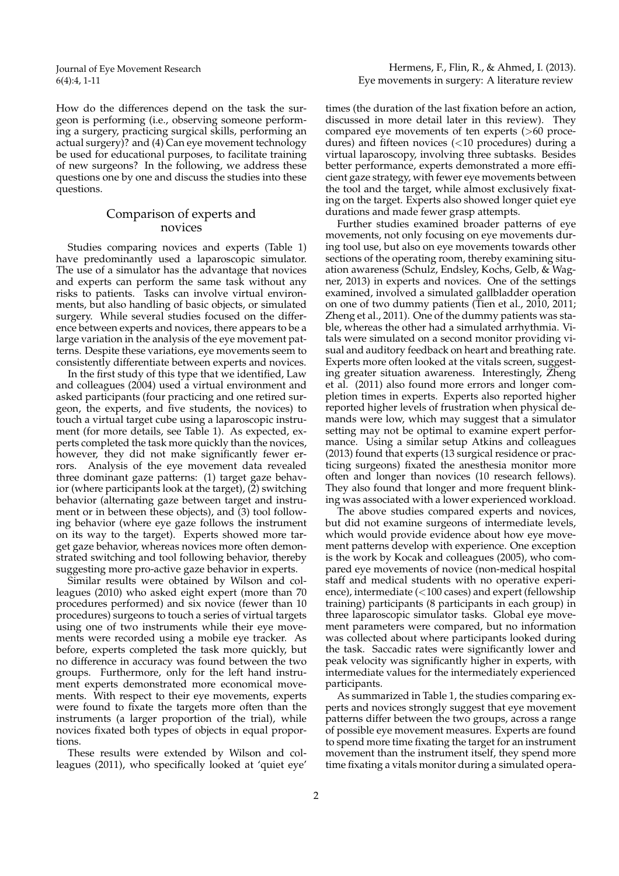How do the differences depend on the task the surgeon is performing (i.e., observing someone performing a surgery, practicing surgical skills, performing an actual surgery)? and (4) Can eye movement technology be used for educational purposes, to facilitate training of new surgeons? In the following, we address these questions one by one and discuss the studies into these questions.

# Comparison of experts and novices

Studies comparing novices and experts (Table 1) have predominantly used a laparoscopic simulator. The use of a simulator has the advantage that novices and experts can perform the same task without any risks to patients. Tasks can involve virtual environments, but also handling of basic objects, or simulated surgery. While several studies focused on the difference between experts and novices, there appears to be a large variation in the analysis of the eye movement patterns. Despite these variations, eye movements seem to consistently differentiate between experts and novices.

In the first study of this type that we identified, Law and colleagues (2004) used a virtual environment and asked participants (four practicing and one retired surgeon, the experts, and five students, the novices) to touch a virtual target cube using a laparoscopic instrument (for more details, see Table 1). As expected, experts completed the task more quickly than the novices, however, they did not make significantly fewer errors. Analysis of the eye movement data revealed three dominant gaze patterns: (1) target gaze behavior (where participants look at the target), (2) switching behavior (alternating gaze between target and instrument or in between these objects), and (3) tool following behavior (where eye gaze follows the instrument on its way to the target). Experts showed more target gaze behavior, whereas novices more often demonstrated switching and tool following behavior, thereby suggesting more pro-active gaze behavior in experts.

Similar results were obtained by Wilson and colleagues (2010) who asked eight expert (more than 70 procedures performed) and six novice (fewer than 10 procedures) surgeons to touch a series of virtual targets using one of two instruments while their eye movements were recorded using a mobile eye tracker. As before, experts completed the task more quickly, but no difference in accuracy was found between the two groups. Furthermore, only for the left hand instrument experts demonstrated more economical movements. With respect to their eye movements, experts were found to fixate the targets more often than the instruments (a larger proportion of the trial), while novices fixated both types of objects in equal proportions.

These results were extended by Wilson and colleagues (2011), who specifically looked at 'quiet eye' times (the duration of the last fixation before an action, discussed in more detail later in this review). They compared eye movements of ten experts (>60 procedures) and fifteen novices (<10 procedures) during a virtual laparoscopy, involving three subtasks. Besides better performance, experts demonstrated a more efficient gaze strategy, with fewer eye movements between the tool and the target, while almost exclusively fixating on the target. Experts also showed longer quiet eye durations and made fewer grasp attempts.

Further studies examined broader patterns of eye movements, not only focusing on eye movements during tool use, but also on eye movements towards other sections of the operating room, thereby examining situation awareness (Schulz, Endsley, Kochs, Gelb, & Wagner, 2013) in experts and novices. One of the settings examined, involved a simulated gallbladder operation on one of two dummy patients (Tien et al., 2010, 2011; Zheng et al., 2011). One of the dummy patients was stable, whereas the other had a simulated arrhythmia. Vitals were simulated on a second monitor providing visual and auditory feedback on heart and breathing rate. Experts more often looked at the vitals screen, suggesting greater situation awareness. Interestingly, Zheng et al. (2011) also found more errors and longer completion times in experts. Experts also reported higher reported higher levels of frustration when physical demands were low, which may suggest that a simulator setting may not be optimal to examine expert performance. Using a similar setup Atkins and colleagues (2013) found that experts (13 surgical residence or practicing surgeons) fixated the anesthesia monitor more often and longer than novices (10 research fellows). They also found that longer and more frequent blinking was associated with a lower experienced workload.

The above studies compared experts and novices, but did not examine surgeons of intermediate levels, which would provide evidence about how eye movement patterns develop with experience. One exception is the work by Kocak and colleagues (2005), who compared eye movements of novice (non-medical hospital staff and medical students with no operative experience), intermediate (<100 cases) and expert (fellowship training) participants (8 participants in each group) in three laparoscopic simulator tasks. Global eye movement parameters were compared, but no information was collected about where participants looked during the task. Saccadic rates were significantly lower and peak velocity was significantly higher in experts, with intermediate values for the intermediately experienced participants.

As summarized in Table 1, the studies comparing experts and novices strongly suggest that eye movement patterns differ between the two groups, across a range of possible eye movement measures. Experts are found to spend more time fixating the target for an instrument movement than the instrument itself, they spend more time fixating a vitals monitor during a simulated opera-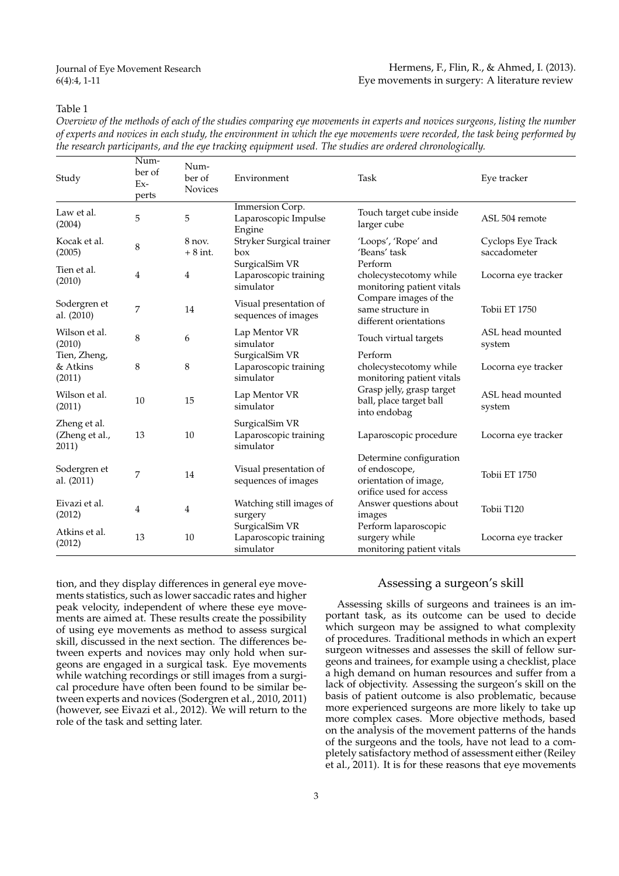#### Hermens, F., Flin, R., & Ahmed, I. (2013). Eye movements in surgery: A literature review

# Table 1

*Overview of the methods of each of the studies comparing eye movements in experts and novices surgeons, listing the number of experts and novices in each study, the environment in which the eye movements were recorded, the task being performed by the research participants, and the eye tracking equipment used. The studies are ordered chronologically.*

| Study                                   | Num-<br>ber of<br>Ex-<br>perts | Num-<br>ber of<br><b>Novices</b> | Environment                                          | Task                                                                                         | Eye tracker                       |
|-----------------------------------------|--------------------------------|----------------------------------|------------------------------------------------------|----------------------------------------------------------------------------------------------|-----------------------------------|
| Law et al.<br>(2004)                    | 5                              | 5                                | Immersion Corp.<br>Laparoscopic Impulse<br>Engine    | Touch target cube inside<br>larger cube                                                      | ASL 504 remote                    |
| Kocak et al.<br>(2005)                  | 8                              | 8 nov.<br>$+8$ int.              | Stryker Surgical trainer<br>box                      | 'Loops', 'Rope' and<br>'Beans' task                                                          | Cyclops Eye Track<br>saccadometer |
| Tien et al.<br>(2010)                   | 4                              | 4                                | SurgicalSim VR<br>Laparoscopic training<br>simulator | Perform<br>cholecystecotomy while<br>monitoring patient vitals                               | Locorna eye tracker               |
| Sodergren et<br>al. (2010)              | 7                              | 14                               | Visual presentation of<br>sequences of images        | Compare images of the<br>same structure in<br>different orientations                         | Tobii ET 1750                     |
| Wilson et al.<br>(2010)                 | 8                              | 6                                | Lap Mentor VR<br>simulator                           | Touch virtual targets                                                                        | ASL head mounted<br>system        |
| Tien, Zheng,<br>& Atkins<br>(2011)      | 8                              | 8                                | SurgicalSim VR<br>Laparoscopic training<br>simulator | Perform<br>cholecystecotomy while<br>monitoring patient vitals                               | Locorna eye tracker               |
| Wilson et al.<br>(2011)                 | 10                             | 15                               | Lap Mentor VR<br>simulator                           | Grasp jelly, grasp target<br>ball, place target ball<br>into endobag                         | ASL head mounted<br>system        |
| Zheng et al.<br>(Zheng et al.,<br>2011) | 13                             | 10                               | SurgicalSim VR<br>Laparoscopic training<br>simulator | Laparoscopic procedure                                                                       | Locorna eye tracker               |
| Sodergren et<br>al. (2011)              | 7                              | 14                               | Visual presentation of<br>sequences of images        | Determine configuration<br>of endoscope,<br>orientation of image,<br>orifice used for access | Tobii ET 1750                     |
| Eivazi et al.<br>(2012)                 | $\overline{4}$                 | $\overline{4}$                   | Watching still images of<br>surgery                  | Answer questions about<br>images                                                             | Tobii T120                        |
| Atkins et al.<br>(2012)                 | 13                             | 10                               | SurgicalSim VR<br>Laparoscopic training<br>simulator | Perform laparoscopic<br>surgery while<br>monitoring patient vitals                           | Locorna eye tracker               |

tion, and they display differences in general eye movements statistics, such as lower saccadic rates and higher peak velocity, independent of where these eye movements are aimed at. These results create the possibility of using eye movements as method to assess surgical skill, discussed in the next section. The differences between experts and novices may only hold when surgeons are engaged in a surgical task. Eye movements while watching recordings or still images from a surgical procedure have often been found to be similar between experts and novices (Sodergren et al., 2010, 2011) (however, see Eivazi et al., 2012). We will return to the role of the task and setting later.

# Assessing a surgeon's skill

Assessing skills of surgeons and trainees is an important task, as its outcome can be used to decide which surgeon may be assigned to what complexity of procedures. Traditional methods in which an expert surgeon witnesses and assesses the skill of fellow surgeons and trainees, for example using a checklist, place a high demand on human resources and suffer from a lack of objectivity. Assessing the surgeon's skill on the basis of patient outcome is also problematic, because more experienced surgeons are more likely to take up more complex cases. More objective methods, based on the analysis of the movement patterns of the hands of the surgeons and the tools, have not lead to a completely satisfactory method of assessment either (Reiley et al., 2011). It is for these reasons that eye movements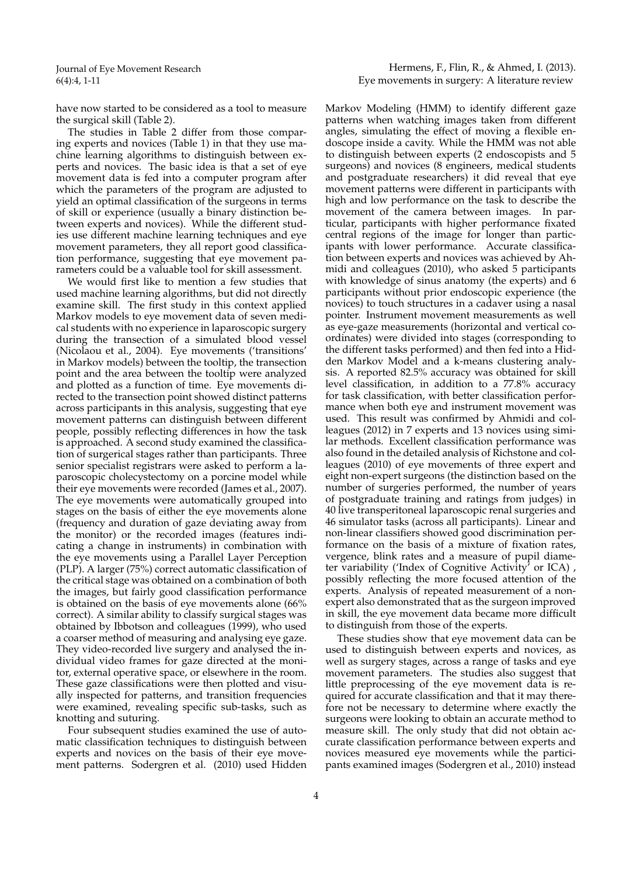have now started to be considered as a tool to measure the surgical skill (Table 2).

The studies in Table 2 differ from those comparing experts and novices (Table 1) in that they use machine learning algorithms to distinguish between experts and novices. The basic idea is that a set of eye movement data is fed into a computer program after which the parameters of the program are adjusted to yield an optimal classification of the surgeons in terms of skill or experience (usually a binary distinction between experts and novices). While the different studies use different machine learning techniques and eye movement parameters, they all report good classification performance, suggesting that eye movement parameters could be a valuable tool for skill assessment.

We would first like to mention a few studies that used machine learning algorithms, but did not directly examine skill. The first study in this context applied Markov models to eye movement data of seven medical students with no experience in laparoscopic surgery during the transection of a simulated blood vessel (Nicolaou et al., 2004). Eye movements ('transitions' in Markov models) between the tooltip, the transection point and the area between the tooltip were analyzed and plotted as a function of time. Eye movements directed to the transection point showed distinct patterns across participants in this analysis, suggesting that eye movement patterns can distinguish between different people, possibly reflecting differences in how the task is approached. A second study examined the classification of surgerical stages rather than participants. Three senior specialist registrars were asked to perform a laparoscopic cholecystectomy on a porcine model while their eye movements were recorded (James et al., 2007). The eye movements were automatically grouped into stages on the basis of either the eye movements alone (frequency and duration of gaze deviating away from the monitor) or the recorded images (features indicating a change in instruments) in combination with the eye movements using a Parallel Layer Perception (PLP). A larger (75%) correct automatic classification of the critical stage was obtained on a combination of both the images, but fairly good classification performance is obtained on the basis of eye movements alone (66% correct). A similar ability to classify surgical stages was obtained by Ibbotson and colleagues (1999), who used a coarser method of measuring and analysing eye gaze. They video-recorded live surgery and analysed the individual video frames for gaze directed at the monitor, external operative space, or elsewhere in the room. These gaze classifications were then plotted and visually inspected for patterns, and transition frequencies were examined, revealing specific sub-tasks, such as knotting and suturing.

Four subsequent studies examined the use of automatic classification techniques to distinguish between experts and novices on the basis of their eye movement patterns. Sodergren et al. (2010) used Hidden Markov Modeling (HMM) to identify different gaze patterns when watching images taken from different angles, simulating the effect of moving a flexible endoscope inside a cavity. While the HMM was not able to distinguish between experts (2 endoscopists and 5 surgeons) and novices (8 engineers, medical students and postgraduate researchers) it did reveal that eye movement patterns were different in participants with high and low performance on the task to describe the movement of the camera between images. In particular, participants with higher performance fixated central regions of the image for longer than participants with lower performance. Accurate classification between experts and novices was achieved by Ahmidi and colleagues (2010), who asked 5 participants with knowledge of sinus anatomy (the experts) and 6 participants without prior endoscopic experience (the novices) to touch structures in a cadaver using a nasal pointer. Instrument movement measurements as well as eye-gaze measurements (horizontal and vertical coordinates) were divided into stages (corresponding to the different tasks performed) and then fed into a Hidden Markov Model and a k-means clustering analysis. A reported 82.5% accuracy was obtained for skill level classification, in addition to a 77.8% accuracy for task classification, with better classification performance when both eye and instrument movement was used. This result was confirmed by Ahmidi and colleagues (2012) in 7 experts and 13 novices using similar methods. Excellent classification performance was also found in the detailed analysis of Richstone and colleagues (2010) of eye movements of three expert and eight non-expert surgeons (the distinction based on the number of surgeries performed, the number of years of postgraduate training and ratings from judges) in 40 live transperitoneal laparoscopic renal surgeries and 46 simulator tasks (across all participants). Linear and non-linear classifiers showed good discrimination performance on the basis of a mixture of fixation rates, vergence, blink rates and a measure of pupil diameter variability ('Index of Cognitive Activity' or ICA) , possibly reflecting the more focused attention of the experts. Analysis of repeated measurement of a nonexpert also demonstrated that as the surgeon improved in skill, the eye movement data became more difficult to distinguish from those of the experts.

These studies show that eye movement data can be used to distinguish between experts and novices, as well as surgery stages, across a range of tasks and eye movement parameters. The studies also suggest that little preprocessing of the eye movement data is required for accurate classification and that it may therefore not be necessary to determine where exactly the surgeons were looking to obtain an accurate method to measure skill. The only study that did not obtain accurate classification performance between experts and novices measured eye movements while the participants examined images (Sodergren et al., 2010) instead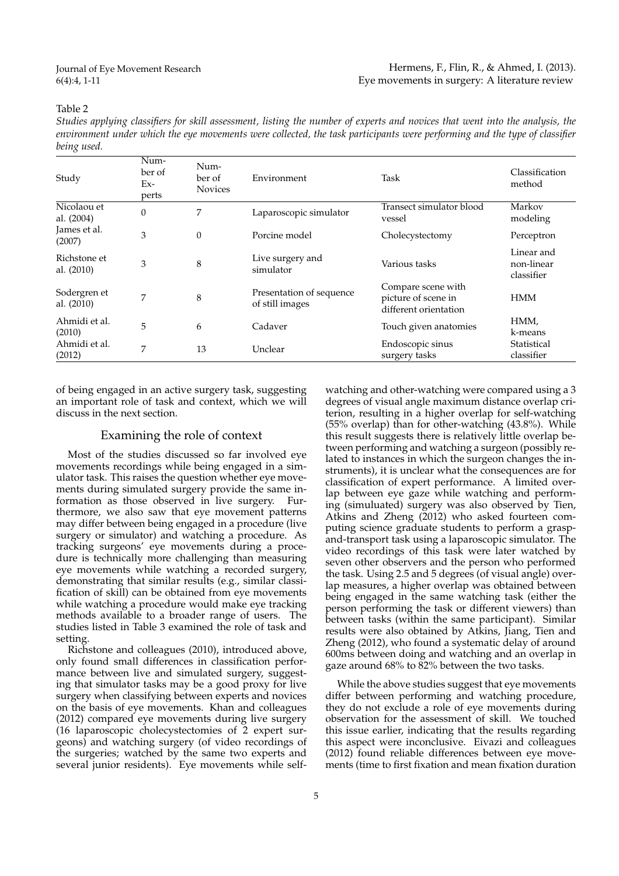# Table 2

*Studies applying classifiers for skill assessment, listing the number of experts and novices that went into the analysis, the environment under which the eye movements were collected, the task participants were performing and the type of classifier being used.*

| Study                        | Num-<br>ber of<br>$Ex-$<br>perts | Num-<br>ber of<br><b>Novices</b> | Environment                                 | Task                                                               | Classification<br>method               |
|------------------------------|----------------------------------|----------------------------------|---------------------------------------------|--------------------------------------------------------------------|----------------------------------------|
| Nicolaou et<br>al. (2004)    | $\mathbf{0}$                     | 7                                | Laparoscopic simulator                      | Transect simulator blood<br>vessel                                 | Markov<br>modeling                     |
| James et al.<br>(2007)       | 3                                | $\theta$                         | Porcine model                               | Cholecystectomy                                                    | Perceptron                             |
| Richstone et<br>al. $(2010)$ | 3                                | 8                                | Live surgery and<br>simulator               | Various tasks                                                      | Linear and<br>non-linear<br>classifier |
| Sodergren et<br>al. $(2010)$ | 7                                | 8                                | Presentation of sequence<br>of still images | Compare scene with<br>picture of scene in<br>different orientation | <b>HMM</b>                             |
| Ahmidi et al.<br>(2010)      | 5                                | 6                                | Cadaver                                     | Touch given anatomies                                              | HMM,<br>k-means                        |
| Ahmidi et al.<br>(2012)      | 7                                | 13                               | Unclear                                     | Endoscopic sinus<br>surgery tasks                                  | Statistical<br>classifier              |

of being engaged in an active surgery task, suggesting an important role of task and context, which we will discuss in the next section.

#### Examining the role of context

Most of the studies discussed so far involved eye movements recordings while being engaged in a simulator task. This raises the question whether eye movements during simulated surgery provide the same information as those observed in live surgery. Furthermore, we also saw that eye movement patterns may differ between being engaged in a procedure (live surgery or simulator) and watching a procedure. As tracking surgeons' eye movements during a procedure is technically more challenging than measuring eye movements while watching a recorded surgery, demonstrating that similar results (e.g., similar classification of skill) can be obtained from eye movements while watching a procedure would make eye tracking methods available to a broader range of users. The studies listed in Table 3 examined the role of task and setting.

Richstone and colleagues (2010), introduced above, only found small differences in classification performance between live and simulated surgery, suggesting that simulator tasks may be a good proxy for live surgery when classifying between experts and novices on the basis of eye movements. Khan and colleagues (2012) compared eye movements during live surgery (16 laparoscopic cholecystectomies of 2 expert surgeons) and watching surgery (of video recordings of the surgeries; watched by the same two experts and several junior residents). Eye movements while self-

watching and other-watching were compared using a 3 degrees of visual angle maximum distance overlap criterion, resulting in a higher overlap for self-watching (55% overlap) than for other-watching (43.8%). While this result suggests there is relatively little overlap between performing and watching a surgeon (possibly related to instances in which the surgeon changes the instruments), it is unclear what the consequences are for classification of expert performance. A limited overlap between eye gaze while watching and performing (simuluated) surgery was also observed by Tien, Atkins and Zheng (2012) who asked fourteen computing science graduate students to perform a graspand-transport task using a laparoscopic simulator. The video recordings of this task were later watched by seven other observers and the person who performed the task. Using 2.5 and 5 degrees (of visual angle) overlap measures, a higher overlap was obtained between being engaged in the same watching task (either the person performing the task or different viewers) than between tasks (within the same participant). Similar results were also obtained by Atkins, Jiang, Tien and Zheng (2012), who found a systematic delay of around 600ms between doing and watching and an overlap in gaze around  $68\%$  to  $82\%$  between the two tasks.

While the above studies suggest that eye movements differ between performing and watching procedure, they do not exclude a role of eye movements during observation for the assessment of skill. We touched this issue earlier, indicating that the results regarding this aspect were inconclusive. Eivazi and colleagues (2012) found reliable differences between eye movements (time to first fixation and mean fixation duration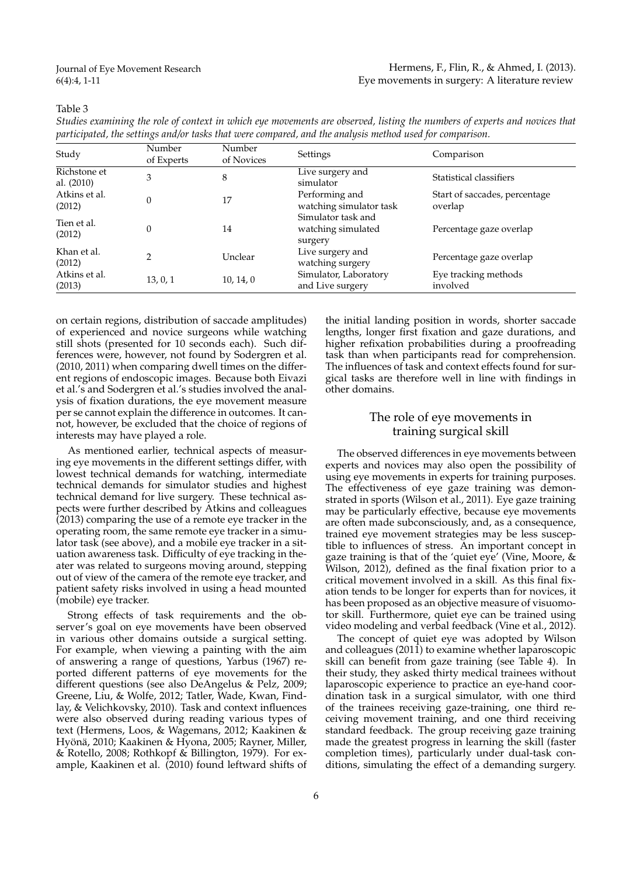### Table 3

| Studies examining the role of context in which eye movements are observed, listing the numbers of experts and novices that |  |  |
|----------------------------------------------------------------------------------------------------------------------------|--|--|
| participated, the settings and/or tasks that were compared, and the analysis method used for comparison.                   |  |  |

| Study                      | Number<br>of Experts | Number<br>of Novices | Settings                                            | Comparison                               |
|----------------------------|----------------------|----------------------|-----------------------------------------------------|------------------------------------------|
| Richstone et<br>al. (2010) | 3                    | 8                    | Live surgery and<br>simulator                       | Statistical classifiers                  |
| Atkins et al.<br>(2012)    | $\Omega$             | 17                   | Performing and<br>watching simulator task           | Start of saccades, percentage<br>overlap |
| Tien et al.<br>(2012)      | $\Omega$             | 14                   | Simulator task and<br>watching simulated<br>surgery | Percentage gaze overlap                  |
| Khan et al.<br>(2012)      | $\overline{2}$       | Unclear              | Live surgery and<br>watching surgery                | Percentage gaze overlap                  |
| Atkins et al.<br>(2013)    | 13, 0, 1             | 10, 14, 0            | Simulator, Laboratory<br>and Live surgery           | Eye tracking methods<br>involved         |

on certain regions, distribution of saccade amplitudes) of experienced and novice surgeons while watching still shots (presented for 10 seconds each). Such differences were, however, not found by Sodergren et al. (2010, 2011) when comparing dwell times on the different regions of endoscopic images. Because both Eivazi et al.'s and Sodergren et al.'s studies involved the analysis of fixation durations, the eye movement measure per se cannot explain the difference in outcomes. It cannot, however, be excluded that the choice of regions of interests may have played a role.

As mentioned earlier, technical aspects of measuring eye movements in the different settings differ, with lowest technical demands for watching, intermediate technical demands for simulator studies and highest technical demand for live surgery. These technical aspects were further described by Atkins and colleagues (2013) comparing the use of a remote eye tracker in the operating room, the same remote eye tracker in a simulator task (see above), and a mobile eye tracker in a situation awareness task. Difficulty of eye tracking in theater was related to surgeons moving around, stepping out of view of the camera of the remote eye tracker, and patient safety risks involved in using a head mounted (mobile) eye tracker.

Strong effects of task requirements and the observer's goal on eye movements have been observed in various other domains outside a surgical setting. For example, when viewing a painting with the aim of answering a range of questions, Yarbus (1967) reported different patterns of eye movements for the different questions (see also DeAngelus & Pelz, 2009; Greene, Liu, & Wolfe, 2012; Tatler, Wade, Kwan, Findlay, & Velichkovsky, 2010). Task and context influences were also observed during reading various types of text (Hermens, Loos, & Wagemans, 2012; Kaakinen & Hyönä, 2010; Kaakinen & Hyona, 2005; Rayner, Miller, & Rotello, 2008; Rothkopf & Billington, 1979). For example, Kaakinen et al. (2010) found leftward shifts of the initial landing position in words, shorter saccade lengths, longer first fixation and gaze durations, and higher refixation probabilities during a proofreading task than when participants read for comprehension. The influences of task and context effects found for surgical tasks are therefore well in line with findings in other domains.

# The role of eye movements in training surgical skill

The observed differences in eye movements between experts and novices may also open the possibility of using eye movements in experts for training purposes. The effectiveness of eye gaze training was demonstrated in sports (Wilson et al., 2011). Eye gaze training may be particularly effective, because eye movements are often made subconsciously, and, as a consequence, trained eye movement strategies may be less susceptible to influences of stress. An important concept in gaze training is that of the 'quiet eye' (Vine, Moore, & Wilson, 2012), defined as the final fixation prior to a critical movement involved in a skill. As this final fixation tends to be longer for experts than for novices, it has been proposed as an objective measure of visuomotor skill. Furthermore, quiet eye can be trained using video modeling and verbal feedback (Vine et al., 2012).

The concept of quiet eye was adopted by Wilson and colleagues (2011) to examine whether laparoscopic skill can benefit from gaze training (see Table 4). In their study, they asked thirty medical trainees without laparoscopic experience to practice an eye-hand coordination task in a surgical simulator, with one third of the trainees receiving gaze-training, one third receiving movement training, and one third receiving standard feedback. The group receiving gaze training made the greatest progress in learning the skill (faster completion times), particularly under dual-task conditions, simulating the effect of a demanding surgery.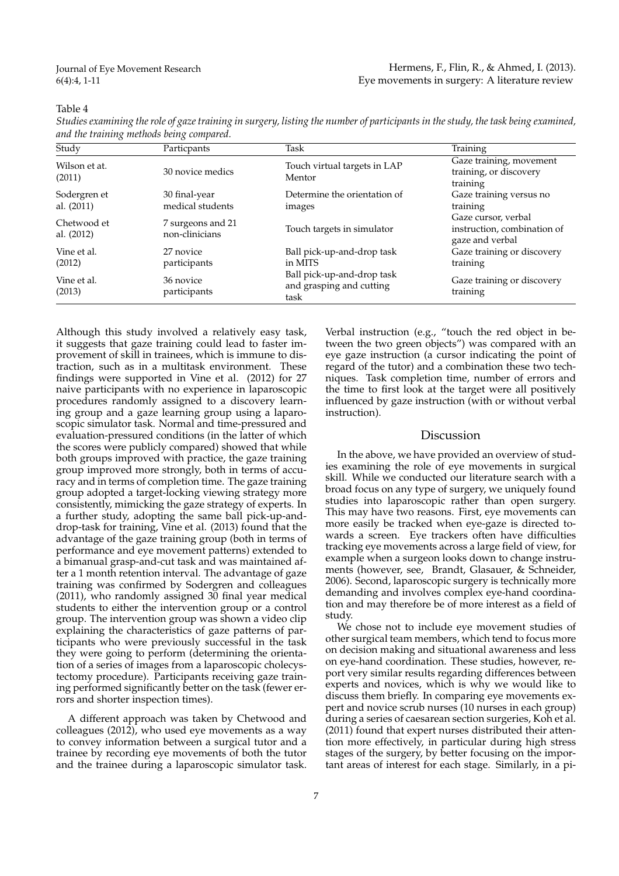# Table 4

| Studies examining the role of gaze training in surgery, listing the number of participants in the study, the task being examined, |  |  |
|-----------------------------------------------------------------------------------------------------------------------------------|--|--|
| and the training methods being compared.                                                                                          |  |  |

| Study                      | Particpants                         | Task                                                           | Training                                                              |
|----------------------------|-------------------------------------|----------------------------------------------------------------|-----------------------------------------------------------------------|
| Wilson et at.<br>(2011)    | 30 novice medics                    | Touch virtual targets in LAP<br>Mentor                         | Gaze training, movement<br>training, or discovery<br>training         |
| Sodergren et<br>al. (2011) | 30 final-year<br>medical students   | Determine the orientation of<br>images                         | Gaze training versus no<br>training                                   |
| Chetwood et<br>al. (2012)  | 7 surgeons and 21<br>non-clinicians | Touch targets in simulator                                     | Gaze cursor, verbal<br>instruction, combination of<br>gaze and verbal |
| Vine et al.<br>(2012)      | 27 novice<br>participants           | Ball pick-up-and-drop task<br>in MITS                          | Gaze training or discovery<br>training                                |
| Vine et al.<br>(2013)      | 36 novice<br>participants           | Ball pick-up-and-drop task<br>and grasping and cutting<br>task | Gaze training or discovery<br>training                                |

Although this study involved a relatively easy task, it suggests that gaze training could lead to faster improvement of skill in trainees, which is immune to distraction, such as in a multitask environment. These findings were supported in Vine et al. (2012) for 27 naive participants with no experience in laparoscopic procedures randomly assigned to a discovery learning group and a gaze learning group using a laparoscopic simulator task. Normal and time-pressured and evaluation-pressured conditions (in the latter of which the scores were publicly compared) showed that while both groups improved with practice, the gaze training group improved more strongly, both in terms of accuracy and in terms of completion time. The gaze training group adopted a target-locking viewing strategy more consistently, mimicking the gaze strategy of experts. In a further study, adopting the same ball pick-up-anddrop-task for training, Vine et al. (2013) found that the advantage of the gaze training group (both in terms of performance and eye movement patterns) extended to a bimanual grasp-and-cut task and was maintained after a 1 month retention interval. The advantage of gaze training was confirmed by Sodergren and colleagues (2011), who randomly assigned 30 final year medical students to either the intervention group or a control group. The intervention group was shown a video clip explaining the characteristics of gaze patterns of participants who were previously successful in the task they were going to perform (determining the orientation of a series of images from a laparoscopic cholecystectomy procedure). Participants receiving gaze training performed significantly better on the task (fewer errors and shorter inspection times).

A different approach was taken by Chetwood and colleagues (2012), who used eye movements as a way to convey information between a surgical tutor and a trainee by recording eye movements of both the tutor and the trainee during a laparoscopic simulator task.

Verbal instruction (e.g., "touch the red object in between the two green objects") was compared with an eye gaze instruction (a cursor indicating the point of regard of the tutor) and a combination these two techniques. Task completion time, number of errors and the time to first look at the target were all positively influenced by gaze instruction (with or without verbal instruction).

#### Discussion

In the above, we have provided an overview of studies examining the role of eye movements in surgical skill. While we conducted our literature search with a broad focus on any type of surgery, we uniquely found studies into laparoscopic rather than open surgery. This may have two reasons. First, eye movements can more easily be tracked when eye-gaze is directed towards a screen. Eye trackers often have difficulties tracking eye movements across a large field of view, for example when a surgeon looks down to change instruments (however, see, Brandt, Glasauer, & Schneider, 2006). Second, laparoscopic surgery is technically more demanding and involves complex eye-hand coordination and may therefore be of more interest as a field of study.

We chose not to include eye movement studies of other surgical team members, which tend to focus more on decision making and situational awareness and less on eye-hand coordination. These studies, however, report very similar results regarding differences between experts and novices, which is why we would like to discuss them briefly. In comparing eye movements expert and novice scrub nurses (10 nurses in each group) during a series of caesarean section surgeries, Koh et al. (2011) found that expert nurses distributed their attention more effectively, in particular during high stress stages of the surgery, by better focusing on the important areas of interest for each stage. Similarly, in a pi-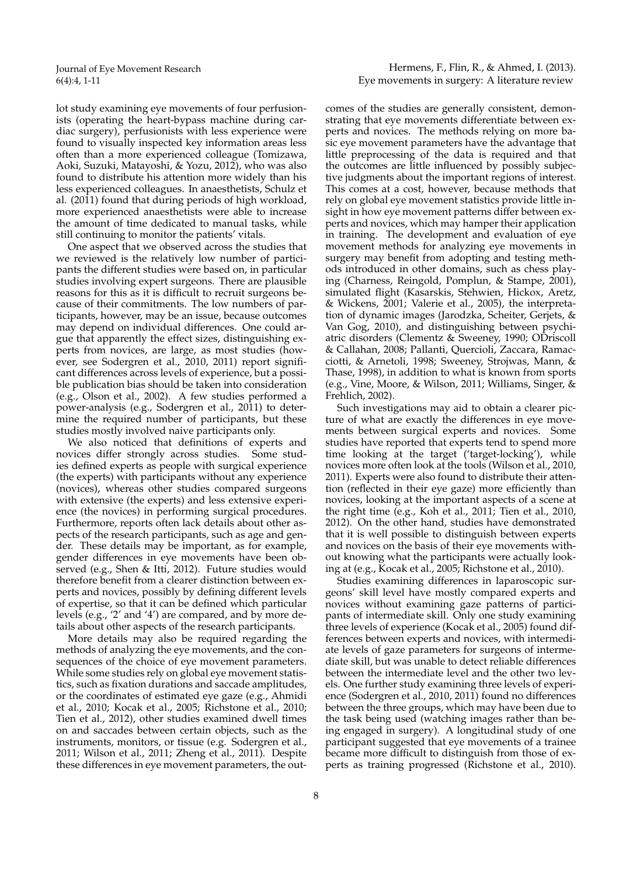lot study examining eye movements of four perfusionists (operating the heart-bypass machine during cardiac surgery), perfusionists with less experience were found to visually inspected key information areas less often than a more experienced colleague (Tomizawa, Aoki, Suzuki, Matayoshi, & Yozu, 2012), who was also found to distribute his attention more widely than his less experienced colleagues. In anaesthetists, Schulz et al. (2011) found that during periods of high workload, more experienced anaesthetists were able to increase the amount of time dedicated to manual tasks, while still continuing to monitor the patients' vitals.

One aspect that we observed across the studies that we reviewed is the relatively low number of participants the different studies were based on, in particular studies involving expert surgeons. There are plausible reasons for this as it is difficult to recruit surgeons because of their commitments. The low numbers of participants, however, may be an issue, because outcomes may depend on individual differences. One could argue that apparently the effect sizes, distinguishing experts from novices, are large, as most studies (however, see Sodergren et al., 2010, 2011) report significant differences across levels of experience, but a possible publication bias should be taken into consideration (e.g., Olson et al., 2002). A few studies performed a power-analysis (e.g., Sodergren et al., 2011) to determine the required number of participants, but these studies mostly involved naive participants only.

We also noticed that definitions of experts and novices differ strongly across studies. Some studies defined experts as people with surgical experience (the experts) with participants without any experience (novices), whereas other studies compared surgeons with extensive (the experts) and less extensive experience (the novices) in performing surgical procedures. Furthermore, reports often lack details about other aspects of the research participants, such as age and gender. These details may be important, as for example, gender differences in eye movements have been observed (e.g., Shen & Itti, 2012). Future studies would therefore benefit from a clearer distinction between experts and novices, possibly by defining different levels of expertise, so that it can be defined which particular levels (e.g., '2' and '4') are compared, and by more details about other aspects of the research participants.

More details may also be required regarding the methods of analyzing the eye movements, and the consequences of the choice of eye movement parameters. While some studies rely on global eye movement statistics, such as fixation durations and saccade amplitudes, or the coordinates of estimated eye gaze (e.g., Ahmidi et al., 2010; Kocak et al., 2005; Richstone et al., 2010; Tien et al., 2012), other studies examined dwell times on and saccades between certain objects, such as the instruments, monitors, or tissue (e.g. Sodergren et al., 2011; Wilson et al., 2011; Zheng et al., 2011). Despite these differences in eye movement parameters, the out-

Hermens, F., Flin, R., & Ahmed, I. (2013). Eye movements in surgery: A literature review

comes of the studies are generally consistent, demonstrating that eye movements differentiate between experts and novices. The methods relying on more basic eye movement parameters have the advantage that little preprocessing of the data is required and that the outcomes are little influenced by possibly subjective judgments about the important regions of interest. This comes at a cost, however, because methods that rely on global eye movement statistics provide little insight in how eye movement patterns differ between experts and novices, which may hamper their application in training. The development and evaluation of eye movement methods for analyzing eye movements in surgery may benefit from adopting and testing methods introduced in other domains, such as chess playing (Charness, Reingold, Pomplun, & Stampe, 2001), simulated flight (Kasarskis, Stehwien, Hickox, Aretz, & Wickens, 2001; Valerie et al., 2005), the interpretation of dynamic images (Jarodzka, Scheiter, Gerjets, & Van Gog, 2010), and distinguishing between psychiatric disorders (Clementz & Sweeney, 1990; ODriscoll & Callahan, 2008; Pallanti, Quercioli, Zaccara, Ramacciotti, & Arnetoli, 1998; Sweeney, Strojwas, Mann, & Thase, 1998), in addition to what is known from sports (e.g., Vine, Moore, & Wilson, 2011; Williams, Singer, & Frehlich, 2002).

Such investigations may aid to obtain a clearer picture of what are exactly the differences in eye movements between surgical experts and novices. Some studies have reported that experts tend to spend more time looking at the target ('target-locking'), while novices more often look at the tools (Wilson et al., 2010, 2011). Experts were also found to distribute their attention (reflected in their eye gaze) more efficiently than novices, looking at the important aspects of a scene at the right time (e.g., Koh et al., 2011; Tien et al., 2010, 2012). On the other hand, studies have demonstrated that it is well possible to distinguish between experts and novices on the basis of their eye movements without knowing what the participants were actually looking at (e.g., Kocak et al., 2005; Richstone et al., 2010).

Studies examining differences in laparoscopic surgeons' skill level have mostly compared experts and novices without examining gaze patterns of participants of intermediate skill. Only one study examining three levels of experience (Kocak et al., 2005) found differences between experts and novices, with intermediate levels of gaze parameters for surgeons of intermediate skill, but was unable to detect reliable differences between the intermediate level and the other two levels. One further study examining three levels of experience (Sodergren et al., 2010, 2011) found no differences between the three groups, which may have been due to the task being used (watching images rather than being engaged in surgery). A longitudinal study of one participant suggested that eye movements of a trainee became more difficult to distinguish from those of experts as training progressed (Richstone et al., 2010).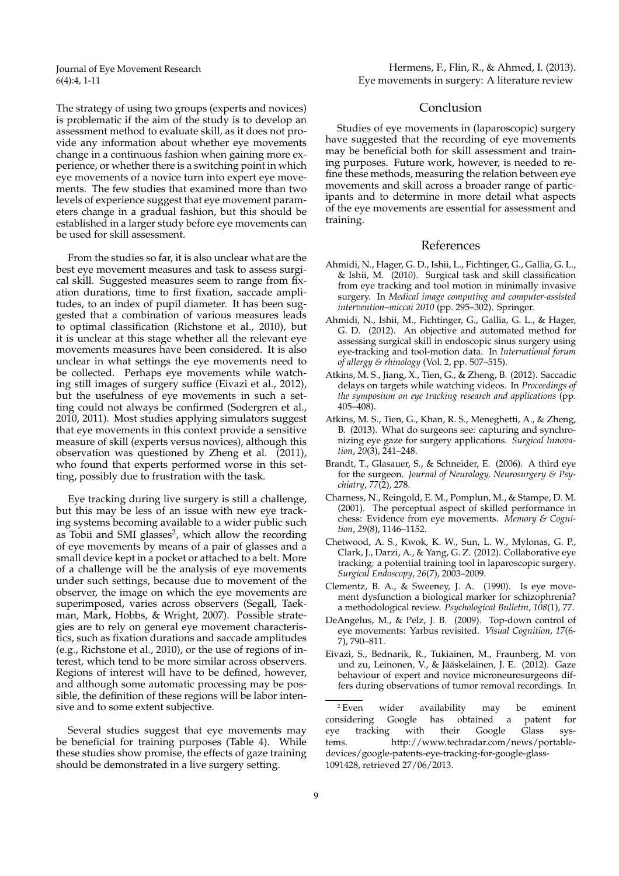Hermens, F., Flin, R., & Ahmed, I. (2013). Eye movements in surgery: A literature review

The strategy of using two groups (experts and novices) is problematic if the aim of the study is to develop an assessment method to evaluate skill, as it does not provide any information about whether eye movements change in a continuous fashion when gaining more experience, or whether there is a switching point in which eye movements of a novice turn into expert eye movements. The few studies that examined more than two levels of experience suggest that eye movement parameters change in a gradual fashion, but this should be established in a larger study before eye movements can be used for skill assessment.

From the studies so far, it is also unclear what are the best eye movement measures and task to assess surgical skill. Suggested measures seem to range from fixation durations, time to first fixation, saccade amplitudes, to an index of pupil diameter. It has been suggested that a combination of various measures leads to optimal classification (Richstone et al., 2010), but it is unclear at this stage whether all the relevant eye movements measures have been considered. It is also unclear in what settings the eye movements need to be collected. Perhaps eye movements while watching still images of surgery suffice (Eivazi et al., 2012), but the usefulness of eye movements in such a setting could not always be confirmed (Sodergren et al., 2010, 2011). Most studies applying simulators suggest that eye movements in this context provide a sensitive measure of skill (experts versus novices), although this observation was questioned by Zheng et al. (2011), who found that experts performed worse in this setting, possibly due to frustration with the task.

Eye tracking during live surgery is still a challenge, but this may be less of an issue with new eye tracking systems becoming available to a wider public such as Tobii and SMI glasses<sup>2</sup>, which allow the recording of eye movements by means of a pair of glasses and a small device kept in a pocket or attached to a belt. More of a challenge will be the analysis of eye movements under such settings, because due to movement of the observer, the image on which the eye movements are superimposed, varies across observers (Segall, Taekman, Mark, Hobbs, & Wright, 2007). Possible strategies are to rely on general eye movement characteristics, such as fixation durations and saccade amplitudes (e.g., Richstone et al., 2010), or the use of regions of interest, which tend to be more similar across observers. Regions of interest will have to be defined, however, and although some automatic processing may be possible, the definition of these regions will be labor intensive and to some extent subjective.

Several studies suggest that eye movements may be beneficial for training purposes (Table 4). While these studies show promise, the effects of gaze training should be demonstrated in a live surgery setting.

## Conclusion

Studies of eye movements in (laparoscopic) surgery have suggested that the recording of eye movements may be beneficial both for skill assessment and training purposes. Future work, however, is needed to refine these methods, measuring the relation between eye movements and skill across a broader range of participants and to determine in more detail what aspects of the eye movements are essential for assessment and training.

# References

- Ahmidi, N., Hager, G. D., Ishii, L., Fichtinger, G., Gallia, G. L., & Ishii, M. (2010). Surgical task and skill classification from eye tracking and tool motion in minimally invasive surgery. In *Medical image computing and computer-assisted intervention–miccai 2010* (pp. 295–302). Springer.
- Ahmidi, N., Ishii, M., Fichtinger, G., Gallia, G. L., & Hager, G. D. (2012). An objective and automated method for assessing surgical skill in endoscopic sinus surgery using eye-tracking and tool-motion data. In *International forum of allergy & rhinology* (Vol. 2, pp. 507–515).
- Atkins, M. S., Jiang, X., Tien, G., & Zheng, B. (2012). Saccadic delays on targets while watching videos. In *Proceedings of the symposium on eye tracking research and applications* (pp. 405–408).
- Atkins, M. S., Tien, G., Khan, R. S., Meneghetti, A., & Zheng, B. (2013). What do surgeons see: capturing and synchronizing eye gaze for surgery applications. *Surgical Innovation*, *20*(3), 241–248.
- Brandt, T., Glasauer, S., & Schneider, E. (2006). A third eye for the surgeon. *Journal of Neurology, Neurosurgery & Psychiatry*, *77*(2), 278.
- Charness, N., Reingold, E. M., Pomplun, M., & Stampe, D. M. (2001). The perceptual aspect of skilled performance in chess: Evidence from eye movements. *Memory & Cognition*, *29*(8), 1146–1152.
- Chetwood, A. S., Kwok, K. W., Sun, L. W., Mylonas, G. P., Clark, J., Darzi, A., & Yang, G. Z. (2012). Collaborative eye tracking: a potential training tool in laparoscopic surgery. *Surgical Endoscopy*, *26*(7), 2003–2009.
- Clementz, B. A., & Sweeney, J. A. (1990). Is eye movement dysfunction a biological marker for schizophrenia? a methodological review. *Psychological Bulletin*, *108*(1), 77.
- DeAngelus, M., & Pelz, J. B. (2009). Top-down control of eye movements: Yarbus revisited. *Visual Cognition*, *17*(6- 7), 790–811.
- Eivazi, S., Bednarik, R., Tukiainen, M., Fraunberg, M. von und zu, Leinonen, V., & Jääskeläinen, J. E. (2012). Gaze behaviour of expert and novice microneurosurgeons differs during observations of tumor removal recordings. In

 $^{2}$  Even wider availability may be eminent considering Google has obtained a patent for Google has obtained a patent for eye tracking with their Google Glass systems. http://www.techradar.com/news/portabledevices/google-patents-eye-tracking-for-google-glass-1091428, retrieved 27/06/2013.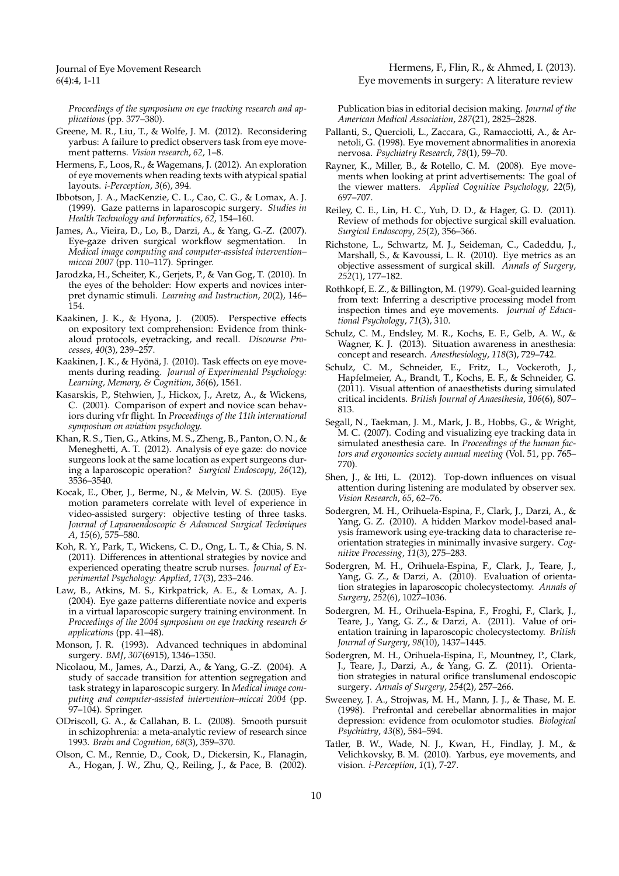*Proceedings of the symposium on eye tracking research and applications* (pp. 377–380).

- Greene, M. R., Liu, T., & Wolfe, J. M. (2012). Reconsidering yarbus: A failure to predict observers task from eye movement patterns. *Vision research*, *62*, 1–8.
- Hermens, F., Loos, R., & Wagemans, J. (2012). An exploration of eye movements when reading texts with atypical spatial layouts. *i-Perception*, *3*(6), 394.
- Ibbotson, J. A., MacKenzie, C. L., Cao, C. G., & Lomax, A. J. (1999). Gaze patterns in laparoscopic surgery. *Studies in Health Technology and Informatics*, *62*, 154–160.
- James, A., Vieira, D., Lo, B., Darzi, A., & Yang, G.-Z. (2007). Eye-gaze driven surgical workflow segmentation. In *Medical image computing and computer-assisted intervention– miccai 2007* (pp. 110–117). Springer.
- Jarodzka, H., Scheiter, K., Gerjets, P., & Van Gog, T. (2010). In the eyes of the beholder: How experts and novices interpret dynamic stimuli. *Learning and Instruction*, *20*(2), 146– 154.
- Kaakinen, J. K., & Hyona, J. (2005). Perspective effects on expository text comprehension: Evidence from thinkaloud protocols, eyetracking, and recall. *Discourse Processes*, *40*(3), 239–257.
- Kaakinen, J. K., & Hyönä, J. (2010). Task effects on eye movements during reading. *Journal of Experimental Psychology: Learning, Memory, & Cognition*, *36*(6), 1561.
- Kasarskis, P., Stehwien, J., Hickox, J., Aretz, A., & Wickens, C. (2001). Comparison of expert and novice scan behaviors during vfr flight. In *Proceedings of the 11th international symposium on aviation psychology.*
- Khan, R. S., Tien, G., Atkins, M. S., Zheng, B., Panton, O. N., & Meneghetti, A. T. (2012). Analysis of eye gaze: do novice surgeons look at the same location as expert surgeons during a laparoscopic operation? *Surgical Endoscopy*, *26*(12), 3536–3540.
- Kocak, E., Ober, J., Berme, N., & Melvin, W. S. (2005). Eye motion parameters correlate with level of experience in video-assisted surgery: objective testing of three tasks. *Journal of Laparoendoscopic & Advanced Surgical Techniques A*, *15*(6), 575–580.
- Koh, R. Y., Park, T., Wickens, C. D., Ong, L. T., & Chia, S. N. (2011). Differences in attentional strategies by novice and experienced operating theatre scrub nurses. *Journal of Experimental Psychology: Applied*, *17*(3), 233–246.
- Law, B., Atkins, M. S., Kirkpatrick, A. E., & Lomax, A. J. (2004). Eye gaze patterns differentiate novice and experts in a virtual laparoscopic surgery training environment. In *Proceedings of the 2004 symposium on eye tracking research & applications* (pp. 41–48).
- Monson, J. R. (1993). Advanced techniques in abdominal surgery. *BMJ*, *307*(6915), 1346–1350.
- Nicolaou, M., James, A., Darzi, A., & Yang, G.-Z. (2004). A study of saccade transition for attention segregation and task strategy in laparoscopic surgery. In *Medical image computing and computer-assisted intervention–miccai 2004* (pp. 97–104). Springer.
- ODriscoll, G. A., & Callahan, B. L. (2008). Smooth pursuit in schizophrenia: a meta-analytic review of research since 1993. *Brain and Cognition*, *68*(3), 359–370.
- Olson, C. M., Rennie, D., Cook, D., Dickersin, K., Flanagin, A., Hogan, J. W., Zhu, Q., Reiling, J., & Pace, B. (2002).

Hermens, F., Flin, R., & Ahmed, I. (2013). Eye movements in surgery: A literature review

Publication bias in editorial decision making. *Journal of the American Medical Association*, *287*(21), 2825–2828.

- Pallanti, S., Quercioli, L., Zaccara, G., Ramacciotti, A., & Arnetoli, G. (1998). Eye movement abnormalities in anorexia nervosa. *Psychiatry Research*, *78*(1), 59–70.
- Rayner, K., Miller, B., & Rotello, C. M. (2008). Eye movements when looking at print advertisements: The goal of the viewer matters. *Applied Cognitive Psychology*, *22*(5), 697–707.
- Reiley, C. E., Lin, H. C., Yuh, D. D., & Hager, G. D. (2011). Review of methods for objective surgical skill evaluation. *Surgical Endoscopy*, *25*(2), 356–366.
- Richstone, L., Schwartz, M. J., Seideman, C., Cadeddu, J., Marshall, S., & Kavoussi, L. R. (2010). Eye metrics as an objective assessment of surgical skill. *Annals of Surgery*, *252*(1), 177–182.
- Rothkopf, E. Z., & Billington, M. (1979). Goal-guided learning from text: Inferring a descriptive processing model from inspection times and eye movements. *Journal of Educational Psychology*, *71*(3), 310.
- Schulz, C. M., Endsley, M. R., Kochs, E. F., Gelb, A. W., & Wagner, K. J. (2013). Situation awareness in anesthesia: concept and research. *Anesthesiology*, *118*(3), 729–742.
- Schulz, C. M., Schneider, E., Fritz, L., Vockeroth, J., Hapfelmeier, A., Brandt, T., Kochs, E. F., & Schneider, G. (2011). Visual attention of anaesthetists during simulated critical incidents. *British Journal of Anaesthesia*, *106*(6), 807– 813.
- Segall, N., Taekman, J. M., Mark, J. B., Hobbs, G., & Wright, M. C. (2007). Coding and visualizing eye tracking data in simulated anesthesia care. In *Proceedings of the human factors and ergonomics society annual meeting* (Vol. 51, pp. 765– 770).
- Shen, J., & Itti, L. (2012). Top-down influences on visual attention during listening are modulated by observer sex. *Vision Research*, *65*, 62–76.
- Sodergren, M. H., Orihuela-Espina, F., Clark, J., Darzi, A., & Yang, G. Z. (2010). A hidden Markov model-based analysis framework using eye-tracking data to characterise reorientation strategies in minimally invasive surgery. *Cognitive Processing*, *11*(3), 275–283.
- Sodergren, M. H., Orihuela-Espina, F., Clark, J., Teare, J., Yang, G. Z., & Darzi, A. (2010). Evaluation of orientation strategies in laparoscopic cholecystectomy. *Annals of Surgery*, *252*(6), 1027–1036.
- Sodergren, M. H., Orihuela-Espina, F., Froghi, F., Clark, J., Teare, J., Yang, G. Z., & Darzi, A. (2011). Value of orientation training in laparoscopic cholecystectomy. *British Journal of Surgery*, *98*(10), 1437–1445.
- Sodergren, M. H., Orihuela-Espina, F., Mountney, P., Clark, J., Teare, J., Darzi, A., & Yang, G. Z. (2011). Orientation strategies in natural orifice translumenal endoscopic surgery. *Annals of Surgery*, *254*(2), 257–266.
- Sweeney, J. A., Strojwas, M. H., Mann, J. J., & Thase, M. E. (1998). Prefrontal and cerebellar abnormalities in major depression: evidence from oculomotor studies. *Biological Psychiatry*, *43*(8), 584–594.
- Tatler, B. W., Wade, N. J., Kwan, H., Findlay, J. M., & Velichkovsky, B. M. (2010). Yarbus, eye movements, and vision. *i-Perception*, *1*(1), 7-27.